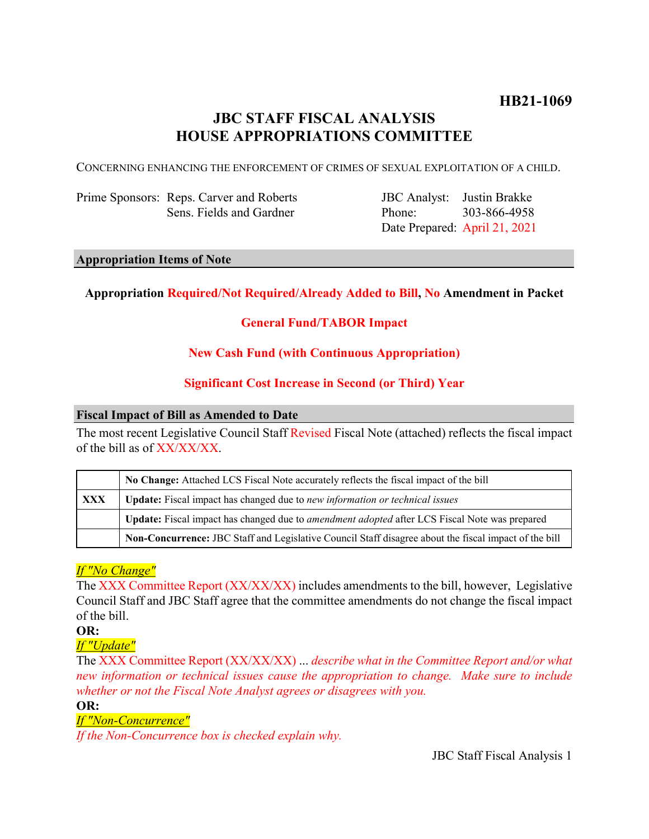# **HB21-1069**

# **JBC STAFF FISCAL ANALYSIS HOUSE APPROPRIATIONS COMMITTEE**

CONCERNING ENHANCING THE ENFORCEMENT OF CRIMES OF SEXUAL EXPLOITATION OF A CHILD.

Prime Sponsors: Reps. Carver and Roberts Sens. Fields and Gardner

JBC Analyst: Justin Brakke Phone: Date Prepared: April 21, 2021 303-866-4958

#### **Appropriation Items of Note**

# **Appropriation Required/Not Required/Already Added to Bill, No Amendment in Packet**

# **General Fund/TABOR Impact**

### **New Cash Fund (with Continuous Appropriation)**

### **Significant Cost Increase in Second (or Third) Year**

#### **Fiscal Impact of Bill as Amended to Date**

The most recent Legislative Council Staff Revised Fiscal Note (attached) reflects the fiscal impact of the bill as of XX/XX/XX.

|            | No Change: Attached LCS Fiscal Note accurately reflects the fiscal impact of the bill                 |
|------------|-------------------------------------------------------------------------------------------------------|
| <b>XXX</b> | <b>Update:</b> Fiscal impact has changed due to new information or technical issues                   |
|            | Update: Fiscal impact has changed due to <i>amendment adopted</i> after LCS Fiscal Note was prepared  |
|            | Non-Concurrence: JBC Staff and Legislative Council Staff disagree about the fiscal impact of the bill |

# *If "No Change"*

The XXX Committee Report (XX/XX/XX) includes amendments to the bill, however, Legislative Council Staff and JBC Staff agree that the committee amendments do not change the fiscal impact of the bill.

**OR:**

*If "Update"*

The XXX Committee Report (XX/XX/XX) ... *describe what in the Committee Report and/or what new information or technical issues cause the appropriation to change. Make sure to include whether or not the Fiscal Note Analyst agrees or disagrees with you.*

**OR:**

## *If "Non-Concurrence"*

*If the Non-Concurrence box is checked explain why.*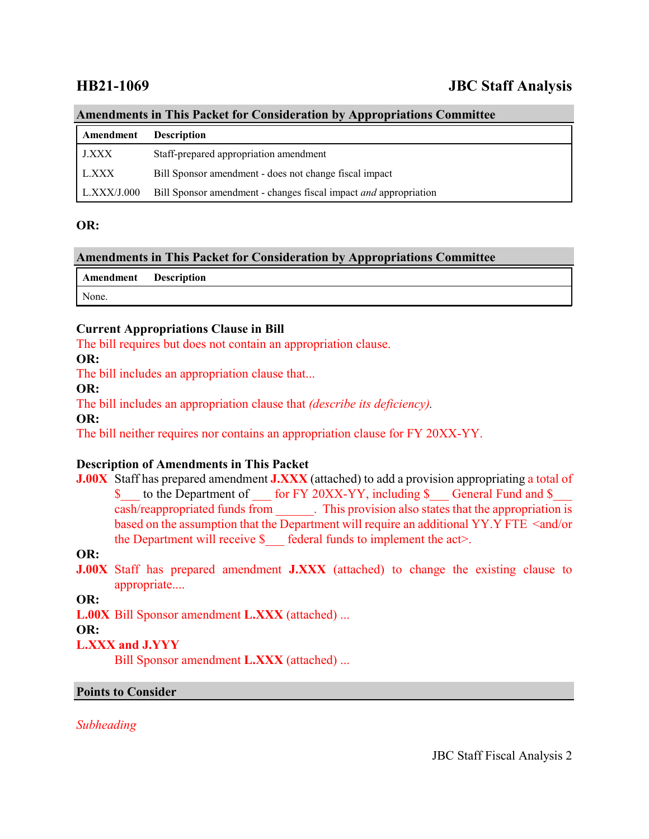# **HB21-1069 JBC Staff Analysis**

#### **Amendments in This Packet for Consideration by Appropriations Committee**

| Amendment   | <b>Description</b>                                               |
|-------------|------------------------------------------------------------------|
| J.XXX       | Staff-prepared appropriation amendment                           |
| L.XXX       | Bill Sponsor amendment - does not change fiscal impact           |
| L.XXX/J.000 | Bill Sponsor amendment - changes fiscal impact and appropriation |

#### **OR:**

# **Amendments in This Packet for Consideration by Appropriations Committee**

| <b>Amendment</b> Description |  |
|------------------------------|--|
| None.                        |  |

### **Current Appropriations Clause in Bill**

The bill requires but does not contain an appropriation clause.

**OR:**

The bill includes an appropriation clause that...

#### **OR:**

The bill includes an appropriation clause that *(describe its deficiency).*

**OR:**

The bill neither requires nor contains an appropriation clause for FY 20XX-YY.

# **Description of Amendments in This Packet**

**J.00X** Staff has prepared amendment **J.XXX** (attached) to add a provision appropriating a total of \$ to the Department of for FY 20XX-YY, including \$ General Fund and \$ cash/reappropriated funds from \_\_\_\_\_\_. This provision also states that the appropriation is based on the assumption that the Department will require an additional YY.Y FTE <and/or the Department will receive  $\$  federal funds to implement the act>.

# **OR:**

**J.00X** Staff has prepared amendment **J.XXX** (attached) to change the existing clause to appropriate....

**OR:**

**L.00X** Bill Sponsor amendment **L.XXX** (attached) ...

#### **OR:**

# **L.XXX and J.YYY**

Bill Sponsor amendment **L.XXX** (attached) ...

#### **Points to Consider**

*Subheading*

JBC Staff Fiscal Analysis 2